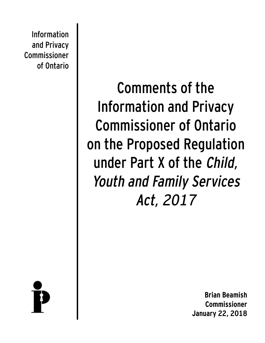Information and Privacy Commissioner of Ontario

> Comments of the Information and Privacy Commissioner of Ontario on the Proposed Regulation under Part X of the Child, Youth and Family Services Act, 2017

**Brian Beamish Commissioner January 22, 2018**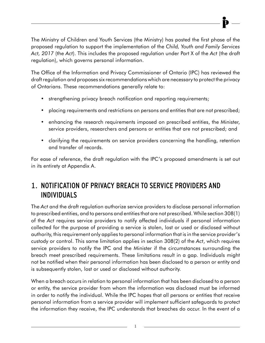The Ministry of Children and Youth Services (the Ministry) has posted the first phase of the proposed regulation to support the implementation of the *Child, Youth and Family Services Act, 2017* (the *Act*). This includes the proposed regulation under Part X of the *Act* (the draft regulation), which governs personal information.

The Office of the Information and Privacy Commissioner of Ontario (IPC) has reviewed the draft regulation and proposes six recommendations which are necessary to protect the privacy of Ontarians. These recommendations generally relate to:

- strengthening privacy breach notification and reporting requirements;
- placing requirements and restrictions on persons and entities that are not prescribed;
- enhancing the research requirements imposed on prescribed entities, the Minister, service providers, researchers and persons or entities that are not prescribed; and
- clarifying the requirements on service providers concerning the handling, retention and transfer of records.

For ease of reference, the draft regulation with the IPC's proposed amendments is set out in its entirety at Appendix A.

# 1. NOTIFICATION OF PRIVACY BREACH TO SERVICE PROVIDERS AND INDIVIDUALS

The *Act* and the draft regulation authorize service providers to disclose personal information to prescribed entities, and to persons and entities that are not prescribed. While section 308(1) of the *Act* requires service providers to notify affected individuals if personal information collected for the purpose of providing a service is stolen, lost or used or disclosed without authority, this requirement only applies to personal information that is in the service provider's custody or control. This same limitation applies in section 308(2) of the *Act*, which requires service providers to notify the IPC and the Minister if the circumstances surrounding the breach meet prescribed requirements. These limitations result in a gap. Individuals might not be notified when their personal information has been disclosed to a person or entity and is subsequently stolen, lost or used or disclosed without authority.

When a breach occurs in relation to personal information that has been disclosed to a person or entity, the service provider from whom the information was disclosed must be informed in order to notify the individual. While the IPC hopes that all persons or entities that receive personal information from a service provider will implement sufficient safeguards to protect the information they receive, the IPC understands that breaches do occur. In the event of a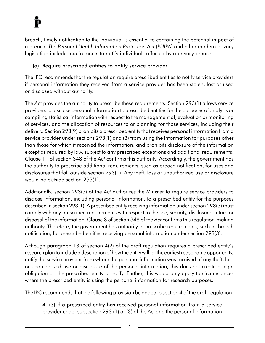breach, timely notification to the individual is essential to containing the potential impact of a breach. *The Personal Health Information Protection Act* (*PHIPA*) and other modern privacy legislation include requirements to notify individuals affected by a privacy breach.

# (a) Require prescribed entities to notify service provider

The IPC recommends that the regulation require prescribed entities to notify service providers if personal information they received from a service provider has been stolen, lost or used or disclosed without authority.

The *Act* provides the authority to prescribe these requirements. Section 293(1) allows service providers to disclose personal information to prescribed entities for the purposes of analysis or compiling statistical information with respect to the management of, evaluation or monitoring of services, and the allocation of resources to or planning for those services, including their delivery. Section 293(9) prohibits a prescribed entity that receives personal information from a service provider under sections 293(1) and (3) from using the information for purposes other than those for which it received the information, and prohibits disclosure of the information except as required by law, subject to any prescribed exceptions and additional requirements. Clause 11 of section 348 of the *Act* confirms this authority. Accordingly, the government has the authority to prescribe additional requirements, such as breach notification, for uses and disclosures that fall outside section 293(1). Any theft, loss or unauthorized use or disclosure would be outside section 293(1).

Additionally, section 293(3) of the *Act* authorizes the Minister to require service providers to disclose information, including personal information, to a prescribed entity for the purposes described in section 293(1). A prescribed entity receiving information under section 293(3) must comply with any prescribed requirements with respect to the use, security, disclosure, return or disposal of the information. Clause 8 of section 348 of the *Act* confirms this regulation-making authority. Therefore, the government has authority to prescribe requirements, such as breach notification, for prescribed entities receiving personal information under section 293(3).

Although paragraph 13 of section 4(2) of the draft regulation requires a prescribed entity's research plan to include a description of how the entity will, at the earliest reasonable opportunity, notify the service provider from whom the personal information was received of any theft, loss or unauthorized use or disclosure of the personal information, this does not create a legal obligation on the prescribed entity to notify. Further, this would only apply to circumstances where the prescribed entity is using the personal information for research purposes.

The IPC recommends that the following provision be added to section 4 of the draft regulation:

4. (3) If a prescribed entity has received personal information from a service provider under subsection 293 (1) or (3) of the Act and the personal information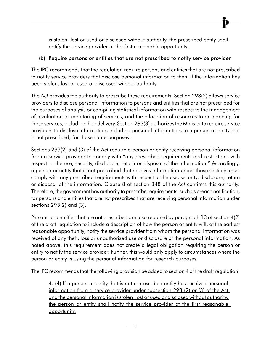is stolen, lost or used or disclosed without authority, the prescribed entity shall notify the service provider at the first reasonable opportunity.

### (b) Require persons or entities that are not prescribed to notify service provider

The IPC recommends that the regulation require persons and entities that are not prescribed to notify service providers that disclose personal information to them if the information has been stolen, lost or used or disclosed without authority.

The *Act* provides the authority to prescribe these requirements. Section 293(2) allows service providers to disclose personal information to persons and entities that are not prescribed for the purposes of analysis or compiling statistical information with respect to the management of, evaluation or monitoring of services, and the allocation of resources to or planning for those services, including their delivery. Section 293(3) authorizes the Minister to require service providers to disclose information, including personal information, to a person or entity that is not prescribed, for those same purposes.

Sections 293(2) and (3) of the *Act* require a person or entity receiving personal information from a service provider to comply with "any prescribed requirements and restrictions with respect to the use, security, disclosure, return or disposal of the information." Accordingly, a person or entity that is not prescribed that receives information under those sections must comply with any prescribed requirements with respect to the use, security, disclosure, return or disposal of the information. Clause 8 of section 348 of the *Act* confirms this authority*.*  Therefore, the government has authority to prescribe requirements, such as breach notification, for persons and entities that are not prescribed that are receiving personal information under sections 293(2) and (3).

Persons and entities that are not prescribed are also required by paragraph 13 of section 4(2) of the draft regulation to include a description of how the person or entity will, at the earliest reasonable opportunity, notify the service provider from whom the personal information was received of any theft, loss or unauthorized use or disclosure of the personal information. As noted above, this requirement does not create a legal obligation requiring the person or entity to notify the service provider. Further, this would only apply to circumstances where the person or entity is using the personal information for research purposes.

The IPC recommends that the following provision be added to section 4 of the draft regulation:

4. (4) If a person or entity that is not a prescribed entity has received personal information from a service provider under subsection 293 (2) or (3) of the Act and the personal information is stolen, lost or used or disclosed without authority, the person or entity shall notify the service provider at the first reasonable opportunity.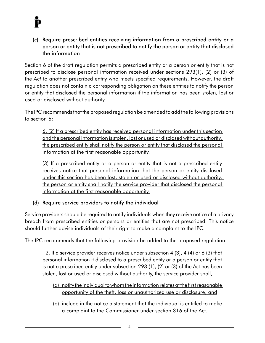(c) Require prescribed entities receiving information from a prescribed entity or a person or entity that is not prescribed to notify the person or entity that disclosed the information

Section 6 of the draft regulation permits a prescribed entity or a person or entity that is not prescribed to disclose personal information received under sections 293(1), (2) or (3) of the *Act* to another prescribed entity who meets specified requirements. However, the draft regulation does not contain a corresponding obligation on these entities to notify the person or entity that disclosed the personal information if the information has been stolen, lost or used or disclosed without authority.

The IPC recommends that the proposed regulation be amended to add the following provisions to section 6:

6. (2) If a prescribed entity has received personal information under this section and the personal information is stolen, lost or used or disclosed without authority, the prescribed entity shall notify the person or entity that disclosed the personal information at the first reasonable opportunity.

 (3) If a prescribed entity or a person or entity that is not a prescribed entity receives notice that personal information that the person or entity disclosed under this section has been lost, stolen or used or disclosed without authority, the person or entity shall notify the service provider that disclosed the personal information at the first reasonable opportunity.

## (d) Require service providers to notify the individual

Service providers should be required to notify individuals when they receive notice of a privacy breach from prescribed entities or persons or entities that are not prescribed. This notice should further advise individuals of their right to make a complaint to the IPC.

The IPC recommends that the following provision be added to the proposed regulation:

12. If a service provider receives notice under subsection 4 (3), 4 (4) or 6 (3) that personal information it disclosed to a prescribed entity or a person or entity that is not a prescribed entity under subsection 293 (1), (2) or (3) of the Act has been stolen, lost or used or disclosed without authority, the service provider shall,

- (a) notify the individual to whom the information relates at the first reasonable opportunity of the theft, loss or unauthorized use or disclosure; and
- (b) include in the notice a statement that the individual is entitled to make a complaint to the Commissioner under section 316 of the Act.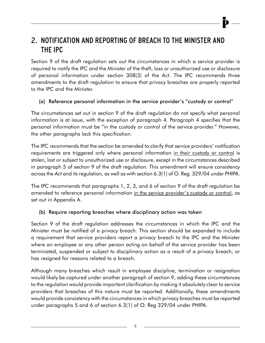# 2. NOTIFICATION AND REPORTING OF BREACH TO THE MINISTER AND THE IPC

Section 9 of the draft regulation sets out the circumstances in which a service provider is required to notify the IPC and the Minister of the theft, loss or unauthorized use or disclosure of personal information under section 308(3) of the *Act*. The IPC recommends three amendments to the draft regulation to ensure that privacy breaches are properly reported to the IPC and the Minister.

### (a) Reference personal information in the service provider's "custody or control"

The circumstances set out in section 9 of the draft regulation do not specify what personal information is at issue, with the exception of paragraph 4. Paragraph 4 specifies that the personal information must be "in the custody or control of the service provider." However, the other paragraphs lack this specification.

The IPC recommends that the section be amended to clarify that service providers' notification requirements are triggered only where personal information in their custody or control is stolen, lost or subject to unauthorized use or disclosure, except in the circumstances described in paragraph 5 of section 9 of the draft regulation. This amendment will ensure consistency across the *Act* and its regulation, as well as with section 6.3(1) of O. Reg. 329/04 under *PHIPA*.

The IPC recommends that paragraphs 1, 2, 3, and 6 of section 9 of the draft regulation be amended to reference personal information in the service provider's custody or control, as set out in Appendix A.

### (b) Require reporting breaches where disciplinary action was taken

Section 9 of the draft regulation addresses the circumstances in which the IPC and the Minister must be notified of a privacy breach. This section should be expanded to include a requirement that service providers report a privacy breach to the IPC and the Minister where an employee or any other person acting on behalf of the service provider has been terminated, suspended or subject to disciplinary action as a result of a privacy breach, or has resigned for reasons related to a breach.

Although many breaches which result in employee discipline, termination or resignation would likely be captured under another paragraph of section 9, adding these circumstances to the regulation would provide important clarification by making it absolutely clear to service providers that breaches of this nature must be reported. Additionally, these amendments would provide consistency with the circumstances in which privacy breaches must be reported under paragraphs 5 and 6 of section 6.3(1) of O. Reg 329/04 under *PHIPA*.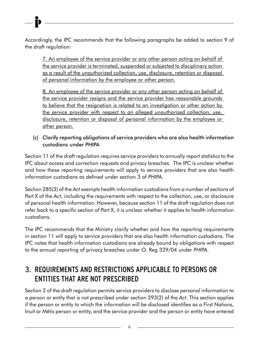Accordingly, the IPC recommends that the following paragraphs be added to section 9 of the draft regulation:

7. An employee of the service provider or any other person acting on behalf of the service provider is terminated, suspended or subjected to disciplinary action as a result of the unauthorized collection, use, disclosure, retention or disposal of personal information by the employee or other person.

8. An employee of the service provider or any other person acting on behalf of the service provider resigns and the service provider has reasonable grounds to believe that the resignation is related to an investigation or other action by the service provider with respect to an alleged unauthorized collection, use, disclosure, retention or disposal of personal information by the employee or other person.

(c) Clarify reporting obligations of service providers who are also health information custodians under *PHIPA*

Section 11 of the draft regulation requires service providers to annually report statistics to the IPC about access and correction requests and privacy breaches. The IPC is unclear whether and how these reporting requirements will apply to service providers that are also health information custodians as defined under section 3 of *PHIPA*.

Section 285(3) of the *Act* exempts health information custodians from a number of sections of Part X of the *Act*, including the requirements with respect to the collection, use, or disclosure of personal health information. However, because section 11 of the draft regulation does not refer back to a specific section of Part X, it is unclear whether it applies to health information custodians.

The IPC recommends that the Ministry clarify whether and how the reporting requirements in section 11 will apply to service providers that are also health information custodians. The IPC notes that health information custodians are already bound by obligations with respect to the annual reporting of privacy breaches under O. Reg 329/04 under *PHIPA*.

# 3. REQUIREMENTS AND RESTRICTIONS APPLICABLE TO PERSONS OR ENTITIES THAT ARE NOT PRESCRIBED

Section 2 of the draft regulation permits service providers to disclose personal information to a person or entity that is not prescribed under section 293(2) of the *Act.* This section applies if the person or entity to which the information will be disclosed identifies as a First Nations, Inuit or Métis person or entity, and the service provider and the person or entity have entered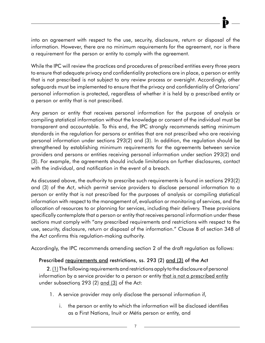into an agreement with respect to the use, security, disclosure, return or disposal of the information. However, there are no minimum requirements for the agreement, nor is there a requirement for the person or entity to comply with the agreement.

While the IPC will review the practices and procedures of prescribed entities every three years to ensure that adequate privacy and confidentiality protections are in place, a person or entity that is not prescribed is not subject to any review process or oversight. Accordingly, other safeguards must be implemented to ensure that the privacy and confidentiality of Ontarians' personal information is protected, regardless of whether it is held by a prescribed entity or a person or entity that is not prescribed.

Any person or entity that receives personal information for the purpose of analysis or compiling statistical information without the knowledge or consent of the individual must be transparent and accountable. To this end, the IPC strongly recommends setting minimum standards in the regulation for persons or entities that are not prescribed who are receiving personal information under sections 293(2) and (3). In addition, the regulation should be strengthened by establishing minimum requirements for the agreements between service providers and persons or entities receiving personal information under section 293(2) and (3). For example, the agreements should include limitations on further disclosures, contact with the individual, and notification in the event of a breach.

As discussed above, the authority to prescribe such requirements is found in sections 293(2) and (3) of the *Act*, which permit service providers to disclose personal information to a person or entity that is not prescribed for the purposes of analysis or compiling statistical information with respect to the management of, evaluation or monitoring of services, and the allocation of resources to or planning for services, including their delivery. These provisions specifically contemplate that a person or entity that receives personal information under these sections must comply with "any prescribed requirements and restrictions with respect to the use, security, disclosure, return or disposal of the information." Clause 8 of section 348 of the *Act* confirms this regulation-making authority.

Accordingly, the IPC recommends amending section 2 of the draft regulation as follows:

### Prescribed requirements and restrictions, ss. 293 (2) and (3) of the Act

2. (1) The following requirements and restrictions apply to the disclosure of personal information by a service provider to a person or entity that is not a prescribed entity under subsections 293  $(2)$  and  $(3)$  of the Act:

- 1. A service provider may only disclose the personal information if,
	- i. the person or entity to which the information will be disclosed identifies as a First Nations, Inuit or Métis person or entity, and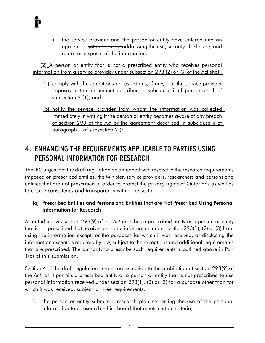ii. the service provider and the person or entity have entered into an agreement with respect to addressing the use, security, disclosure, and return or disposal of the information.

(2) A person or entity that is not a prescribed entity who receives personal information from a service provider under subsection 293 (2) or (3) of the Act shall,

- (a) comply with the conditions or restrictions, if any, that the service provider imposes in the agreement described in subclause ii of paragraph 1 of subsection 2 (1); and
- (b) notify the service provider from whom the information was collected immediately in writing if the person or entity becomes aware of any breach of section 293 of the Act or the agreement described in subclause ii of paragraph 1 of subsection 2 (1).

# 4. ENHANCING THE REQUIREMENTS APPLICABLE TO PARTIES USING PERSONAL INFORMATION FOR RESEARCH

The IPC urges that the draft regulation be amended with respect to the research requirements imposed on prescribed entities, the Minister, service providers, researchers and persons and entities that are not prescribed in order to protect the privacy rights of Ontarians as well as to ensure consistency and transparency within the sector.

## (a) Prescribed Entities and Persons and Entities that are Not Prescribed Using Personal Information for Research

As noted above, section 293(9) of the *Act* prohibits a prescribed entity or a person or entity that is not prescribed that receives personal information under section 293(1), (2) or (3) from using the information except for the purposes for which it was received, or disclosing the information except as required by law, subject to the exceptions and additional requirements that are prescribed. The authority to prescribe such requirements is outlined above in Part 1(a) of this submission.

Section 4 of the draft regulation creates an exception to the prohibition at section 293(9) of the *Act,* as it permits a prescribed entity or a person or entity that is not prescribed to use personal information received under section 293(1), (2) or (3) for a purpose other than for which it was received, subject to three requirements:

1. the person or entity submits a research plan respecting the use of the personal information to a research ethics board that meets certain criteria;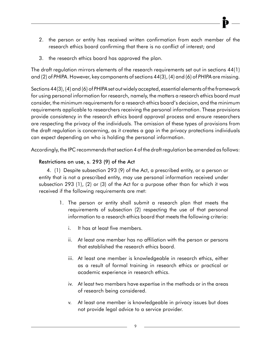- 2. the person or entity has received written confirmation from each member of the research ethics board confirming that there is no conflict of interest; and
- 3. the research ethics board has approved the plan.

The draft regulation mirrors elements of the research requirements set out in sections 44(1) and (2) of *PHIPA*. However, key components of sections 44(3), (4) and (6) of *PHIPA* are missing.

Sections 44(3), (4) and (6) of *PHIPA* set out widely accepted, essential elements of the framework for using personal information for research, namely, the matters a research ethics board must consider, the minimum requirements for a research ethics board's decision, and the minimum requirements applicable to researchers receiving the personal information. These provisions provide consistency in the research ethics board approval process and ensure researchers are respecting the privacy of the individuals. The omission of these types of provisions from the draft regulation is concerning, as it creates a gap in the privacy protections individuals can expect depending on who is holding the personal information.

Accordingly, the IPC recommends that section 4 of the draft regulation be amended as follows:

### Restrictions on use, s. 293 (9) of the Act

4. (1) Despite subsection 293 (9) of the Act, a prescribed entity, or a person or entity that is not a prescribed entity, may use personal information received under subsection 293 (1), (2) or (3) of the Act for a purpose other than for which it was received if the following requirements are met:

- 1. The person or entity shall submit a research plan that meets the requirements of subsection (2) respecting the use of that personal information to a research ethics board that meets the following criteria:
	- i. It has at least five members.
	- ii. At least one member has no affiliation with the person or persons that established the research ethics board.
	- iii. At least one member is knowledgeable in research ethics, either as a result of formal training in research ethics or practical or academic experience in research ethics.
	- iv. At least two members have expertise in the methods or in the areas of research being considered.
	- v. At least one member is knowledgeable in privacy issues but does not provide legal advice to a service provider.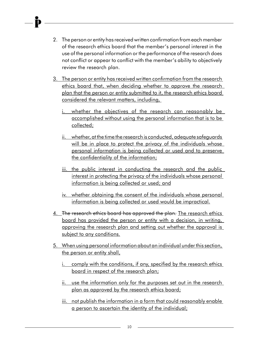- 2. The person or entity has received written confirmation from each member of the research ethics board that the member's personal interest in the use of the personal information or the performance of the research does not conflict or appear to conflict with the member's ability to objectively review the research plan.
- 3. The person or entity has received written confirmation from the research ethics board that, when deciding whether to approve the research plan that the person or entity submitted to it, the research ethics board considered the relevant matters, including,
	- i. whether the objectives of the research can reasonably be accomplished without using the personal information that is to be collected;
	- ii. whether, at the time the research is conducted, adequate safeguards will be in place to protect the privacy of the individuals whose personal information is being collected or used and to preserve the confidentiality of the information;
	- iii. the public interest in conducting the research and the public interest in protecting the privacy of the individuals whose personal information is being collected or used; and
	- iv. whether obtaining the consent of the individuals whose personal information is being collected or used would be impractical.
- 4. The research ethics board has approved the plan. The research ethics board has provided the person or entity with a decision, in writing, approving the research plan and setting out whether the approval is subject to any conditions.
- 5. When using personal information about an individual under this section, the person or entity shall,
	- i. comply with the conditions, if any, specified by the research ethics board in respect of the research plan;
	- ii. use the information only for the purposes set out in the research plan as approved by the research ethics board;
	- iii. not publish the information in a form that could reasonably enable a person to ascertain the identity of the individual;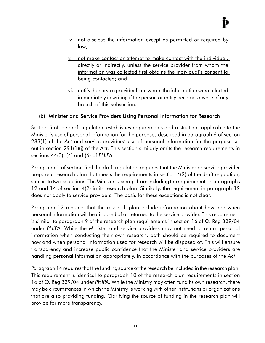- iv. not disclose the information except as permitted or required by law;
- v. not make contact or attempt to make contact with the individual, directly or indirectly, unless the service provider from whom the information was collected first obtains the individual's consent to being contacted; and
- vi. notify the service provider from whom the information was collected immediately in writing if the person or entity becomes aware of any breach of this subsection.

# (b) Minister and Service Providers Using Personal Information for Research

Section 5 of the draft regulation establishes requirements and restrictions applicable to the Minister's use of personal information for the purposes described in paragraph 6 of section 283(1) of the *Act* and service providers' use of personal information for the purpose set out in section 291(1)(j) of the *Act*. This section similarly omits the research requirements in sections 44(3), (4) and (6) of *PHIPA.*

Paragraph 1 of section 5 of the draft regulation requires that the Minister or service provider prepare a research plan that meets the requirements in section 4(2) of the draft regulation, subject to two exceptions. The Minister is exempt from including the requirements in paragraphs 12 and 14 of section 4(2) in its research plan. Similarly, the requirement in paragraph 12 does not apply to service providers. The basis for these exceptions is not clear.

Paragraph 12 requires that the research plan include information about how and when personal information will be disposed of or returned to the service provider. This requirement is similar to paragraph 9 of the research plan requirements in section 16 of O. Reg 329/04 under *PHIPA*. While the Minister and service providers may not need to return personal information when conducting their own research, both should be required to document how and when personal information used for research will be disposed of. This will ensure transparency and increase public confidence that the Minister and service providers are handling personal information appropriately, in accordance with the purposes of the *Act*.

Paragraph 14 requires that the funding source of the research be included in the research plan. This requirement is identical to paragraph 10 of the research plan requirements in section 16 of O. Reg 329/04 under *PHIPA*. While the Ministry may often fund its own research, there may be circumstances in which the Ministry is working with other institutions or organizations that are also providing funding. Clarifying the source of funding in the research plan will provide for more transparency.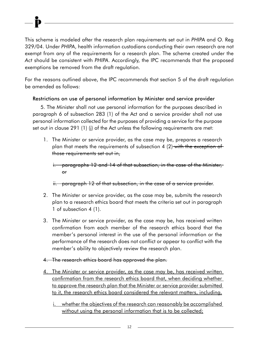This scheme is modeled after the research plan requirements set out in *PHIPA* and O. Reg 329/04. Under *PHIPA*, health information custodians conducting their own research are not exempt from any of the requirements for a research plan. The scheme created under the *Act* should be consistent with *PHIPA*. Accordingly, the IPC recommends that the proposed exemptions be removed from the draft regulation.

For the reasons outlined above, the IPC recommends that section 5 of the draft regulation be amended as follows:

### Restrictions on use of personal information by Minister and service provider

5. The Minister shall not use personal information for the purposes described in paragraph 6 of subsection 283 (1) of the Act and a service provider shall not use personal information collected for the purposes of providing a service for the purpose set out in clause 291 (1) (j) of the Act unless the following requirements are met:

1. The Minister or service provider, as the case may be, prepares a research plan that meets the requirements of subsection 4 (2) with the exception of those requirements set out in,

i. paragraphs 12 and 14 of that subsection, in the case of the Minister, or

ii. paragraph 12 of that subsection, in the case of a service provider.

- 2. The Minister or service provider, as the case may be, submits the research plan to a research ethics board that meets the criteria set out in paragraph 1 of subsection 4 (1).
- 3. The Minister or service provider, as the case may be, has received written confirmation from each member of the research ethics board that the member's personal interest in the use of the personal information or the performance of the research does not conflict or appear to conflict with the member's ability to objectively review the research plan.
- 4. The research ethics board has approved the plan.
- 4. The Minister or service provider, as the case may be, has received written confirmation from the research ethics board that, when deciding whether to approve the research plan that the Minister or service provider submitted to it, the research ethics board considered the relevant matters, including,
	- i. whether the objectives of the research can reasonably be accomplished without using the personal information that is to be collected;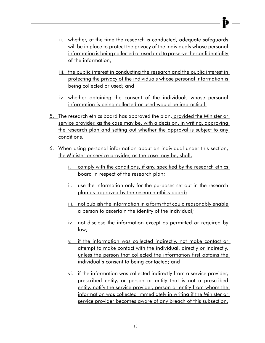- ii. whether, at the time the research is conducted, adequate safeguards will be in place to protect the privacy of the individuals whose personal information is being collected or used and to preserve the confidentiality of the information;
- iii. the public interest in conducting the research and the public interest in protecting the privacy of the individuals whose personal information is being collected or used; and
- iv. whether obtaining the consent of the individuals whose personal information is being collected or used would be impractical.
- 5. The research ethics board has approved the plan. provided the Minister or service provider, as the case may be, with a decision, in writing, approving the research plan and setting out whether the approval is subject to any conditions.
- 6. When using personal information about an individual under this section, the Minister or service provider, as the case may be, shall,
	- i. comply with the conditions, if any, specified by the research ethics board in respect of the research plan;
	- ii. use the information only for the purposes set out in the research plan as approved by the research ethics board;
	- iii. not publish the information in a form that could reasonably enable a person to ascertain the identity of the individual;
	- iv. not disclose the information except as permitted or required by law;
	- v. if the information was collected indirectly, not make contact or attempt to make contact with the individual, directly or indirectly, unless the person that collected the information first obtains the individual's consent to being contacted; and
	- vi. if the information was collected indirectly from a service provider, prescribed entity, or person or entity that is not a prescribed entity, notify the service provider, person or entity from whom the information was collected immediately in writing if the Minister or service provider becomes aware of any breach of this subsection.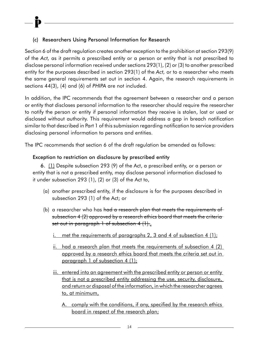# (c) Researchers Using Personal Information for Research

Section 6 of the draft regulation creates another exception to the prohibition at section 293(9) of the *Act,* as it permits a prescribed entity or a person or entity that is not prescribed to disclose personal information received under sections 293(1), (2) or (3) to another prescribed entity for the purposes described in section 293(1) of the *Act,* or to a researcher who meets the same general requirements set out in section 4. Again, the research requirements in sections 44(3), (4) and (6) of *PHIPA* are not included.

In addition, the IPC recommends that the agreement between a researcher and a person or entity that discloses personal information to the researcher should require the researcher to notify the person or entity if personal information they receive is stolen, lost or used or disclosed without authority. This requirement would address a gap in breach notification similar to that described in Part 1 of this submission regarding notification to service providers disclosing personal information to persons and entities.

The IPC recommends that section 6 of the draft regulation be amended as follows:

# Exception to restriction on disclosure by prescribed entity

6. (1) Despite subsection 293 (9) of the Act, a prescribed entity, or a person or entity that is not a prescribed entity, may disclose personal information disclosed to it under subsection 293 (1), (2) or (3) of the Act to,

- (a) another prescribed entity, if the disclosure is for the purposes described in subsection 293 (1) of the Act; or
- (b) a researcher who has <del>had a research plan that meets the requirements of</del> subsection 4 (2) approved by a research ethics board that meets the criteria set out in paragraph 1 of subsection  $4(1)$ .
	- i. met the requirements of paragraphs 2, 3 and 4 of subsection 4  $(1)$ ;
	- ii. had a research plan that meets the requirements of subsection 4 (2) approved by a research ethics board that meets the criteria set out in paragraph 1 of subsection 4 (1);
	- iii. entered into an agreement with the prescribed entity or person or entity that is not a prescribed entity addressing the use, security, disclosure, and return or disposal of the information, in which the researcher agrees to, at minimum,
		- A. comply with the conditions, if any, specified by the research ethics board in respect of the research plan;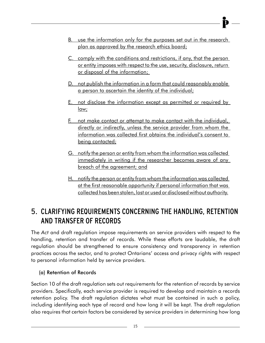- B. use the information only for the purposes set out in the research plan as approved by the research ethics board;
- C. comply with the conditions and restrictions, if any, that the person or entity imposes with respect to the use, security, disclosure, return or disposal of the information;
- D. not publish the information in a form that could reasonably enable a person to ascertain the identity of the individual;
- E. not disclose the information except as permitted or required by law;
- F. not make contact or attempt to make contact with the individual, directly or indirectly, unless the service provider from whom the information was collected first obtains the individual's consent to being contacted;
- G. notify the person or entity from whom the information was collected immediately in writing if the researcher becomes aware of any breach of the agreement; and
- H. notify the person or entity from whom the information was collected at the first reasonable opportunity if personal information that was collected has been stolen, lost or used or disclosed without authority.

# 5. CLARIFYING REQUIREMENTS CONCERNING THE HANDLING, RETENTION AND TRANSFER OF RECORDS

The *Act* and draft regulation impose requirements on service providers with respect to the handling, retention and transfer of records. While these efforts are laudable, the draft regulation should be strengthened to ensure consistency and transparency in retention practices across the sector, and to protect Ontarians' access and privacy rights with respect to personal information held by service providers.

## (a) Retention of Records

Section 10 of the draft regulation sets out requirements for the retention of records by service providers. Specifically, each service provider is required to develop and maintain a records retention policy. The draft regulation dictates what must be contained in such a policy, including identifying each type of record and how long it will be kept. The draft regulation also requires that certain factors be considered by service providers in determining how long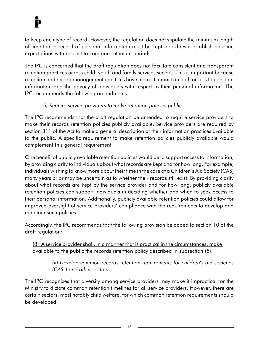to keep each type of record. However, the regulation does not stipulate the minimum length of time that a record of personal information must be kept, nor does it establish baseline expectations with respect to common retention periods.

The IPC is concerned that the draft regulation does not facilitate consistent and transparent retention practices across child, youth and family services sectors. This is important because retention and record management practices have a direct impact on both access to personal information and the privacy of individuals with respect to their personal information. The IPC recommends the following amendments.

## *(i) Require service providers to make retention policies public*

The IPC recommends that the draft regulation be amended to require service providers to make their records retention policies publicly available. Service providers are required by section 311 of the *Act* to make a general description of their information practices available to the public. A specific requirement to make retention policies publicly available would complement this general requirement.

One benefit of publicly available retention policies would be to support access to information, by providing clarity to individuals about what records are kept and for how long. For example, individuals wishing to know more about their time in the care of a Children's Aid Society (CAS) many years prior may be uncertain as to whether their records still exist. By providing clarity about what records are kept by the service provider and for how long, publicly available retention policies can support individuals in deciding whether and when to seek access to their personal information. Additionally, publicly available retention policies could allow for improved oversight of service providers' compliance with the requirements to develop and maintain such policies.

Accordingly, the IPC recommends that the following provision be added to section 10 of the draft regulation:

(8) A service provider shall, in a manner that is practical in the circumstances, make available to the public the records retention policy described in subsection (5).

*(ii) Develop common records retention requirements for children's aid societies (CASs) and other sectors*

The IPC recognizes that diversity among service providers may make it impractical for the Ministry to dictate common retention timelines for all service providers. However, there are certain sectors, most notably child welfare, for which common retention requirements should be developed.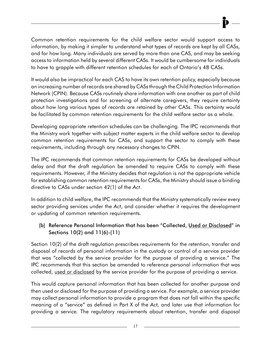Common retention requirements for the child welfare sector would support access to information, by making it simpler to understand what types of records are kept by all CASs, and for how long. Many individuals are served by more than one CAS, and may be seeking access to information held by several different CASs. It would be cumbersome for individuals to have to grapple with different retention schedules for each of Ontario's 48 CASs.

It would also be impractical for each CAS to have its own retention policy, especially because an increasing number of records are shared by CASs through the Child Protection Information Network (CPIN). Because CASs routinely share information with one another as part of child protection investigations and for screening of alternate caregivers, they require certainty about how long various types of records are retained by other CASs. This certainty would be facilitated by common retention requirements for the child welfare sector as a whole.

Developing appropriate retention schedules can be challenging. The IPC recommends that the Ministry work together with subject matter experts in the child welfare sector to develop common retention requirements for CASs, and support the sector to comply with these requirements, including through any necessary changes to CPIN.

The IPC recommends that common retention requirements for CASs be developed without delay and that the draft regulation be amended to require CASs to comply with these requirements. However, if the Ministry decides that regulation is not the appropriate vehicle for establishing common retention requirements for CASs, the Ministry should issue a binding directive to CASs under section 42(1) of the *Act*.

In addition to child welfare, the IPC recommends that the Ministry systematically review every sector providing services under the *Act*, and consider whether it requires the development or updating of common retention requirements.

## (b) Reference Personal Information that has been "Collected, Used or Disclosed" in Sections 10(2) and 11(6)-(11)

Section 10(2) of the draft regulation prescribes requirements for the retention, transfer and disposal of records of personal information in the custody or control of a service provider that was "collected by the service provider for the purpose of providing a service." The IPC recommends that this section be amended to reference personal information that was collected, used or disclosed by the service provider for the purpose of providing a service.

This would capture personal information that has been collected for another purpose and then used or disclosed for the purpose of providing a service. For example, a service provider may collect personal information to provide a program that does not fall within the specific meaning of a "service" as defined in Part X of the *Act,* and later use that information for providing a service*.* The regulatory requirements about retention, transfer and disposal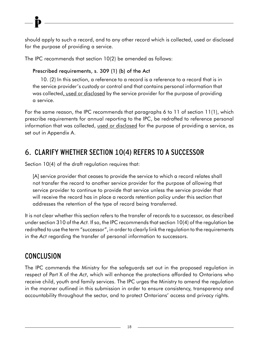should apply to such a record, and to any other record which is collected, used or disclosed for the purpose of providing a service.

The IPC recommends that section 10(2) be amended as follows:

# Prescribed requirements, s. 309 (1) (b) of the Act

10. (2) In this section, a reference to a record is a reference to a record that is in the service provider's custody or control and that contains personal information that was collected, used or disclosed by the service provider for the purpose of providing a service.

For the same reason, the IPC recommends that paragraphs 6 to 11 of section 11(1), which prescribe requirements for annual reporting to the IPC, be redrafted to reference personal information that was collected, used or disclosed for the purpose of providing a service, as set out in Appendix A.

# 6. CLARIFY WHETHER SECTION 10(4) REFERS TO A SUCCESSOR

Section 10(4) of the draft regulation requires that:

[A] service provider that ceases to provide the service to which a record relates shall not transfer the record to another service provider for the purpose of allowing that service provider to continue to provide that service unless the service provider that will receive the record has in place a records retention policy under this section that addresses the retention of the type of record being transferred.

It is not clear whether this section refers to the transfer of records to a successor, as described under section 310 of the *Act.* If so, the IPC recommends that section 10(4) of the regulation be redrafted to use the term "successor", in order to clearly link the regulation to the requirements in the *Act* regarding the transfer of personal information to successors.

# **CONCLUSION**

The IPC commends the Ministry for the safeguards set out in the proposed regulation in respect of Part X of the *Act*, which will enhance the protections afforded to Ontarians who receive child, youth and family services. The IPC urges the Ministry to amend the regulation in the manner outlined in this submission in order to ensure consistency, transparency and accountability throughout the sector, and to protect Ontarians' access and privacy rights.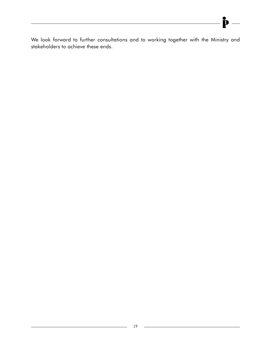We look forward to further consultations and to working together with the Ministry and stakeholders to achieve these ends.

Þ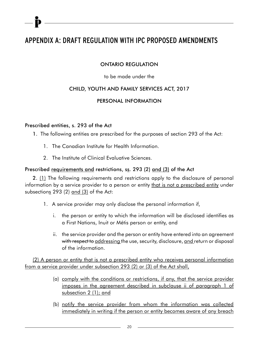# APPENDIX A: DRAFT REGULATION WITH IPC PROPOSED AMENDMENTS

### ONTARIO REGULATION

#### to be made under the

### CHILD, YOUTH AND FAMILY SERVICES ACT, 2017

#### PERSONAL INFORMATION

#### Prescribed entities, s. 293 of the Act

- 1. The following entities are prescribed for the purposes of section 293 of the Act:
	- 1. The Canadian Institute for Health Information.
	- 2. The Institute of Clinical Evaluative Sciences.

#### Prescribed requirements and restrictions, ss. 293 (2) and (3) of the Act

2. (1) The following requirements and restrictions apply to the disclosure of personal information by a service provider to a person or entity that is not a prescribed entity under subsections  $293$  (2) and (3) of the Act:

- 1. A service provider may only disclose the personal information if,
	- i. the person or entity to which the information will be disclosed identifies as a First Nations, Inuit or Métis person or entity, and
	- ii. the service provider and the person or entity have entered into an agreement with respect to addressing the use, security, disclosure, and return or disposal of the information.

(2) A person or entity that is not a prescribed entity who receives personal information from a service provider under subsection 293 (2) or (3) of the Act shall,

- (a) comply with the conditions or restrictions, if any, that the service provider imposes in the agreement described in subclause ii of paragraph 1 of subsection 2 (1); and
- (b) notify the service provider from whom the information was collected immediately in writing if the person or entity becomes aware of any breach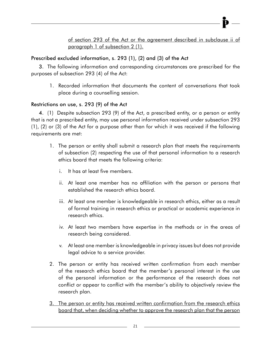### of section 293 of the Act or the agreement described in subclause ii of paragraph 1 of subsection 2 (1).

# Prescribed excluded information, s. 293 (1), (2) and (3) of the Act

3. The following information and corresponding circumstances are prescribed for the purposes of subsection 293 (4) of the Act:

1. Recorded information that documents the content of conversations that took place during a counselling session.

## Restrictions on use, s. 293 (9) of the Act

4. (1) Despite subsection 293 (9) of the Act, a prescribed entity, or a person or entity that is not a prescribed entity, may use personal information received under subsection 293 (1), (2) or (3) of the Act for a purpose other than for which it was received if the following requirements are met:

- 1. The person or entity shall submit a research plan that meets the requirements of subsection (2) respecting the use of that personal information to a research ethics board that meets the following criteria:
	- i. It has at least five members.
	- ii. At least one member has no affiliation with the person or persons that established the research ethics board.
	- iii. At least one member is knowledgeable in research ethics, either as a result of formal training in research ethics or practical or academic experience in research ethics.
	- iv. At least two members have expertise in the methods or in the areas of research being considered.
	- v. At least one member is knowledgeable in privacy issues but does not provide legal advice to a service provider.
- 2. The person or entity has received written confirmation from each member of the research ethics board that the member's personal interest in the use of the personal information or the performance of the research does not conflict or appear to conflict with the member's ability to objectively review the research plan.
- 3. The person or entity has received written confirmation from the research ethics board that, when deciding whether to approve the research plan that the person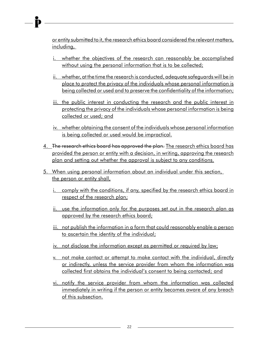or entity submitted to it, the research ethics board considered the relevant matters, including,

- i. whether the objectives of the research can reasonably be accomplished without using the personal information that is to be collected;
- ii. whether, at the time the research is conducted, adequate safeguards will be in place to protect the privacy of the individuals whose personal information is being collected or used and to preserve the confidentiality of the information;
- iii. the public interest in conducting the research and the public interest in protecting the privacy of the individuals whose personal information is being collected or used; and
- iv. whether obtaining the consent of the individuals whose personal information is being collected or used would be impractical.
- 4. The research ethics board has approved the plan. The research ethics board has provided the person or entity with a decision, in writing, approving the research plan and setting out whether the approval is subject to any conditions.
- 5. When using personal information about an individual under this section, the person or entity shall,
	- i. comply with the conditions, if any, specified by the research ethics board in respect of the research plan;
	- ii. use the information only for the purposes set out in the research plan as approved by the research ethics board;
	- iii. not publish the information in a form that could reasonably enable a person to ascertain the identity of the individual;
	- iv. not disclose the information except as permitted or required by law;
	- v. not make contact or attempt to make contact with the individual, directly or indirectly, unless the service provider from whom the information was collected first obtains the individual's consent to being contacted; and
	- vi. notify the service provider from whom the information was collected immediately in writing if the person or entity becomes aware of any breach of this subsection.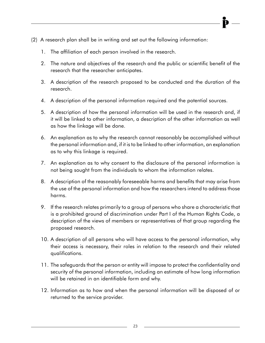- (2) A research plan shall be in writing and set out the following information:
	- 1. The affiliation of each person involved in the research.
	- 2. The nature and objectives of the research and the public or scientific benefit of the research that the researcher anticipates.
	- 3. A description of the research proposed to be conducted and the duration of the research.
	- 4. A description of the personal information required and the potential sources.
	- 5. A description of how the personal information will be used in the research and, if it will be linked to other information, a description of the other information as well as how the linkage will be done.
	- 6. An explanation as to why the research cannot reasonably be accomplished without the personal information and, if it is to be linked to other information, an explanation as to why this linkage is required.
	- 7. An explanation as to why consent to the disclosure of the personal information is not being sought from the individuals to whom the information relates.
	- 8. A description of the reasonably foreseeable harms and benefits that may arise from the use of the personal information and how the researchers intend to address those harms.
	- 9. If the research relates primarily to a group of persons who share a characteristic that is a prohibited ground of discrimination under Part I of the Human Rights Code, a description of the views of members or representatives of that group regarding the proposed research.
	- 10. A description of all persons who will have access to the personal information, why their access is necessary, their roles in relation to the research and their related qualifications.
	- 11. The safeguards that the person or entity will impose to protect the confidentiality and security of the personal information, including an estimate of how long information will be retained in an identifiable form and why.
	- 12. Information as to how and when the personal information will be disposed of or returned to the service provider.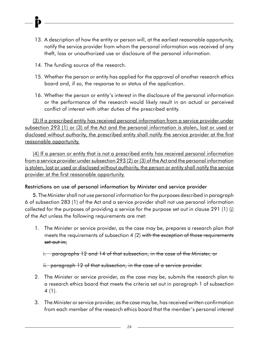- 13. A description of how the entity or person will, at the earliest reasonable opportunity, notify the service provider from whom the personal information was received of any theft, loss or unauthorized use or disclosure of the personal information.
- 14. The funding source of the research.
- 15. Whether the person or entity has applied for the approval of another research ethics board and, if so, the response to or status of the application.
- 16. Whether the person or entity's interest in the disclosure of the personal information or the performance of the research would likely result in an actual or perceived conflict of interest with other duties of the prescribed entity.

(3) If a prescribed entity has received personal information from a service provider under subsection 293 (1) or (3) of the Act and the personal information is stolen, lost or used or disclosed without authority, the prescribed entity shall notify the service provider at the first reasonable opportunity.

(4) If a person or entity that is not a prescribed entity has received personal information from a service provider under subsection 293 (2) or (3) of the Act and the personal information is stolen, lost or used or disclosed without authority, the person or entity shall notify the service provider at the first reasonable opportunity.

### Restrictions on use of personal information by Minister and service provider

5. The Minister shall not use personal information for the purposes described in paragraph 6 of subsection 283 (1) of the Act and a service provider shall not use personal information collected for the purposes of providing a service for the purpose set out in clause 291 (1) (j) of the Act unless the following requirements are met:

1. The Minister or service provider, as the case may be, prepares a research plan that meets the requirements of subsection 4 (2) with the exception of those requirements set out in,

i. paragraphs 12 and 14 of that subsection, in the case of the Minister, or

ii. paragraph 12 of that subsection, in the case of a service provider.

- 2. The Minister or service provider, as the case may be, submits the research plan to a research ethics board that meets the criteria set out in paragraph 1 of subsection 4 (1).
- 3. The Minister or service provider, as the case may be, has received written confirmation from each member of the research ethics board that the member's personal interest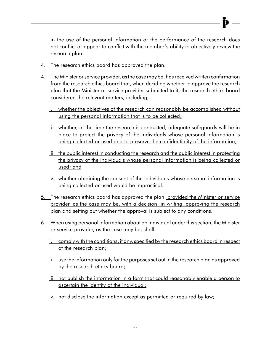in the use of the personal information or the performance of the research does not conflict or appear to conflict with the member's ability to objectively review the research plan.

- 4. The research ethics board has approved the plan.
- 4. The Minister or service provider, as the case may be, has received written confirmation from the research ethics board that, when deciding whether to approve the research plan that the Minister or service provider submitted to it, the research ethics board considered the relevant matters, including,
	- i. whether the objectives of the research can reasonably be accomplished without using the personal information that is to be collected;
	- ii. whether, at the time the research is conducted, adequate safeguards will be in place to protect the privacy of the individuals whose personal information is being collected or used and to preserve the confidentiality of the information;
	- iii. the public interest in conducting the research and the public interest in protecting the privacy of the individuals whose personal information is being collected or used; and
	- iv. whether obtaining the consent of the individuals whose personal information is being collected or used would be impractical.
- 5. The research ethics board has approved the plan. provided the Minister or service provider, as the case may be, with a decision, in writing, approving the research plan and setting out whether the approval is subject to any conditions.
- 6. When using personal information about an individual under this section, the Minister or service provider, as the case may be, shall,
	- i. comply with the conditions, if any, specified by the research ethics board in respect of the research plan;
	- ii. use the information only for the purposes set out in the research plan as approved by the research ethics board;
	- iii. not publish the information in a form that could reasonably enable a person to ascertain the identity of the individual;
	- iv. not disclose the information except as permitted or required by law;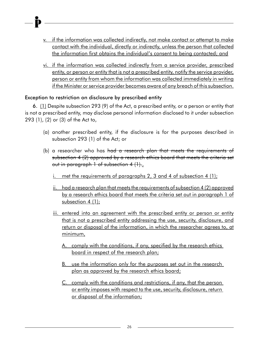- v. if the information was collected indirectly, not make contact or attempt to make contact with the individual, directly or indirectly, unless the person that collected the information first obtains the individual's consent to being contacted; and
- vi. if the information was collected indirectly from a service provider, prescribed entity, or person or entity that is not a prescribed entity, notify the service provider, person or entity from whom the information was collected immediately in writing if the Minister or service provider becomes aware of any breach of this subsection.

### Exception to restriction on disclosure by prescribed entity

6. (1) Despite subsection 293 (9) of the Act, a prescribed entity, or a person or entity that is not a prescribed entity, may disclose personal information disclosed to it under subsection 293 (1), (2) or (3) of the Act to,

- (a) another prescribed entity, if the disclosure is for the purposes described in subsection 293 (1) of the Act; or
- (b) a researcher who has <del>had a research plan that meets the requirements of</del> subsection 4 (2) approved by a research ethics board that meets the criteria set out in paragraph 1 of subsection 4 (1).
	- met the requirements of paragraphs 2, 3 and 4 of subsection 4 (1);
	- ii. had a research plan that meets the requirements of subsection 4 (2) approved by a research ethics board that meets the criteria set out in paragraph 1 of subsection  $4(1)$ ;
	- iii. entered into an agreement with the prescribed entity or person or entity that is not a prescribed entity addressing the use, security, disclosure, and return or disposal of the information, in which the researcher agrees to, at minimum,
		- A. comply with the conditions, if any, specified by the research ethics board in respect of the research plan;
		- B. use the information only for the purposes set out in the research plan as approved by the research ethics board;
		- C. comply with the conditions and restrictions, if any, that the person or entity imposes with respect to the use, security, disclosure, return or disposal of the information;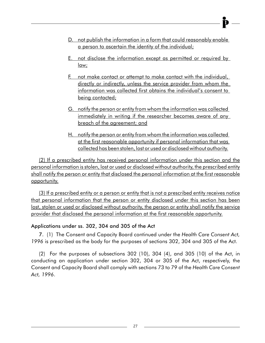- D. not publish the information in a form that could reasonably enable a person to ascertain the identity of the individual;
- E. not disclose the information except as permitted or required by law;
- F. not make contact or attempt to make contact with the individual, directly or indirectly, unless the service provider from whom the information was collected first obtains the individual's consent to being contacted;
- G. notify the person or entity from whom the information was collected immediately in writing if the researcher becomes aware of any breach of the agreement; and
- H. notify the person or entity from whom the information was collected at the first reasonable opportunity if personal information that was collected has been stolen, lost or used or disclosed without authority.

(2) If a prescribed entity has received personal information under this section and the personal information is stolen, lost or used or disclosed without authority, the prescribed entity shall notify the person or entity that disclosed the personal information at the first reasonable opportunity.

(3) If a prescribed entity or a person or entity that is not a prescribed entity receives notice that personal information that the person or entity disclosed under this section has been lost, stolen or used or disclosed without authority, the person or entity shall notify the service provider that disclosed the personal information at the first reasonable opportunity.

### Applications under ss. 302, 304 and 305 of the Act

7. (1) The Consent and Capacity Board continued under the *Health Care Consent Act, 1996* is prescribed as the body for the purposes of sections 302, 304 and 305 of the Act.

(2) For the purposes of subsections 302 (10), 304 (4), and 305 (10) of the Act, in conducting an application under section 302, 304 or 305 of the Act, respectively, the Consent and Capacity Board shall comply with sections 73 to 79 of the *Health Care Consent Act, 1996*.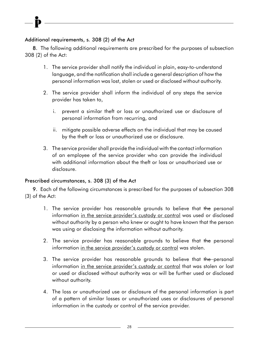### Additional requirements, s. 308 (2) of the Act

8. The following additional requirements are prescribed for the purposes of subsection 308 (2) of the Act:

- 1. The service provider shall notify the individual in plain, easy-to-understand language, and the notification shall include a general description of how the personal information was lost, stolen or used or disclosed without authority.
- 2. The service provider shall inform the individual of any steps the service provider has taken to,
	- i. prevent a similar theft or loss or unauthorized use or disclosure of personal information from recurring, and
	- ii. mitigate possible adverse effects on the individual that may be caused by the theft or loss or unauthorized use or disclosure.
- 3. The service provider shall provide the individual with the contact information of an employee of the service provider who can provide the individual with additional information about the theft or loss or unauthorized use or disclosure.

#### Prescribed circumstances, s. 308 (3) of the Act

9. Each of the following circumstances is prescribed for the purposes of subsection 308 (3) of the Act:

- 1. The service provider has reasonable grounds to believe that the personal information in the service provider's custody or control was used or disclosed without authority by a person who knew or ought to have known that the person was using or disclosing the information without authority.
- 2. The service provider has reasonable grounds to believe that the personal information in the service provider's custody or control was stolen.
- 3. The service provider has reasonable grounds to believe that the personal information in the service provider's custody or control that was stolen or lost or used or disclosed without authority was or will be further used or disclosed without authority.
- 4. The loss or unauthorized use or disclosure of the personal information is part of a pattern of similar losses or unauthorized uses or disclosures of personal information in the custody or control of the service provider.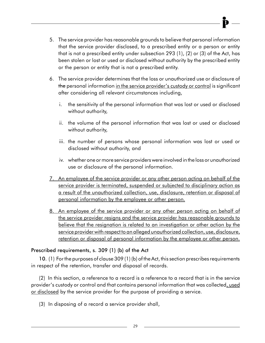- 5. The service provider has reasonable grounds to believe that personal information that the service provider disclosed, to a prescribed entity or a person or entity that is not a prescribed entity under subsection 293 (1), (2) or (3) of the Act, has been stolen or lost or used or disclosed without authority by the prescribed entity or the person or entity that is not a prescribed entity.
- 6. The service provider determines that the loss or unauthorized use or disclosure of the personal information in the service provider's custody or control is significant after considering all relevant circumstances including,
	- i. the sensitivity of the personal information that was lost or used or disclosed without authority,
	- ii. the volume of the personal information that was lost or used or disclosed without authority,
	- iii. the number of persons whose personal information was lost or used or disclosed without authority, and
	- iv. whether one or more service providers were involved in the loss or unauthorized use or disclosure of the personal information.
- 7. An employee of the service provider or any other person acting on behalf of the service provider is terminated, suspended or subjected to disciplinary action as a result of the unauthorized collection, use, disclosure, retention or disposal of personal information by the employee or other person.
- 8. An employee of the service provider or any other person acting on behalf of the service provider resigns and the service provider has reasonable grounds to believe that the resignation is related to an investigation or other action by the service provider with respect to an alleged unauthorized collection, use, disclosure, retention or disposal of personal information by the employee or other person.

## Prescribed requirements, s. 309 (1) (b) of the Act

10. (1) For the purposes of clause 309 (1) (b) of the Act, this section prescribes requirements in respect of the retention, transfer and disposal of records.

(2) In this section, a reference to a record is a reference to a record that is in the service provider's custody or control and that contains personal information that was collected, used or disclosed by the service provider for the purpose of providing a service.

(3) In disposing of a record a service provider shall,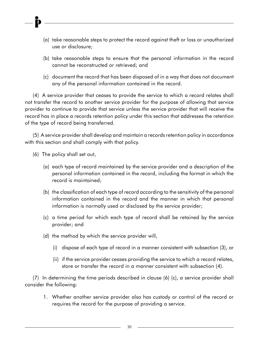- (a) take reasonable steps to protect the record against theft or loss or unauthorized use or disclosure;
- (b) take reasonable steps to ensure that the personal information in the record cannot be reconstructed or retrieved; and
- (c) document the record that has been disposed of in a way that does not document any of the personal information contained in the record.

(4) A service provider that ceases to provide the service to which a record relates shall not transfer the record to another service provider for the purpose of allowing that service provider to continue to provide that service unless the service provider that will receive the record has in place a records retention policy under this section that addresses the retention of the type of record being transferred.

(5) A service provider shall develop and maintain a records retention policy in accordance with this section and shall comply with that policy.

- (6) The policy shall set out,
	- (a) each type of record maintained by the service provider and a description of the personal information contained in the record, including the format in which the record is maintained;
	- (b) the classification of each type of record according to the sensitivity of the personal information contained in the record and the manner in which that personal information is normally used or disclosed by the service provider;
	- (c) a time period for which each type of record shall be retained by the service provider; and
	- (d) the method by which the service provider will,
		- (i) dispose of each type of record in a manner consistent with subsection (3), or
		- (ii) if the service provider ceases providing the service to which a record relates, store or transfer the record in a manner consistent with subsection (4).

(7) In determining the time periods described in clause (6) (c), a service provider shall consider the following:

1. Whether another service provider also has custody or control of the record or requires the record for the purpose of providing a service.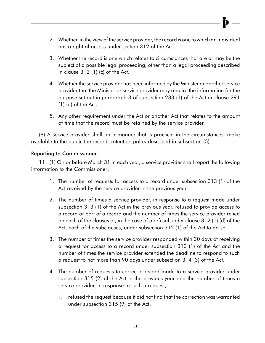- 2. Whether, in the view of the service provider, the record is one to which an individual has a right of access under section 312 of the Act.
- 3. Whether the record is one which relates to circumstances that are or may be the subject of a possible legal proceeding, other than a legal proceeding described in clause 312 (1) (c) of the Act.
- 4. Whether the service provider has been informed by the Minister or another service provider that the Minister or service provider may require the information for the purpose set out in paragraph 3 of subsection 283 (1) of the Act or clause 291 (1) (d) of the Act.
- 5. Any other requirement under the Act or another Act that relates to the amount of time that the record must be retained by the service provider.

(8) A service provider shall, in a manner that is practical in the circumstances, make available to the public the records retention policy described in subsection (5).

### Reporting to Commissioner

11. (1) On or before March 31 in each year, a service provider shall report the following information to the Commissioner:

- 1. The number of requests for access to a record under subsection 313 (1) of the Act received by the service provider in the previous year.
- 2. The number of times a service provider, in response to a request made under subsection 313 (1) of the Act in the previous year, refused to provide access to a record or part of a record and the number of times the service provider relied on each of the clauses or, in the case of a refusal under clause 312 (1) (d) of the Act, each of the subclauses, under subsection 312 (1) of the Act to do so.
- 3. The number of times the service provider responded within 30 days of receiving a request for access to a record under subsection 313 (1) of the Act and the number of times the service provider extended the deadline to respond to such a request to not more than 90 days under subsection 314 (3) of the Act.
- 4. The number of requests to correct a record made to a service provider under subsection 315 (2) of the Act in the previous year and the number of times a service provider, in response to such a request,
	- i. refused the request because it did not find that the correction was warranted under subsection 315 (9) of the Act,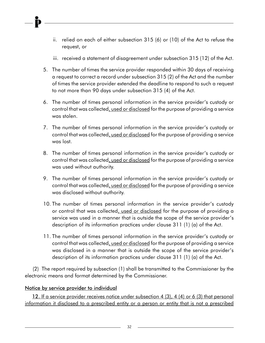- ii. relied on each of either subsection 315 (6) or (10) of the Act to refuse the request, or
- iii. received a statement of disagreement under subsection 315 (12) of the Act.
- 5. The number of times the service provider responded within 30 days of receiving a request to correct a record under subsection 315 (2) of the Act and the number of times the service provider extended the deadline to respond to such a request to not more than 90 days under subsection 315 (4) of the Act.
- 6. The number of times personal information in the service provider's custody or control that was collected, used or disclosed for the purpose of providing a service was stolen.
- 7. The number of times personal information in the service provider's custody or control that was collected, used or disclosed for the purpose of providing a service was lost.
- 8. The number of times personal information in the service provider's custody or control that was collected, used or disclosed for the purpose of providing a service was used without authority.
- 9. The number of times personal information in the service provider's custody or control that was collected, used or disclosed for the purpose of providing a service was disclosed without authority.
- 10. The number of times personal information in the service provider's custody or control that was collected, used or disclosed for the purpose of providing a service was used in a manner that is outside the scope of the service provider's description of its information practices under clause 311 (1) (a) of the Act.
- 11. The number of times personal information in the service provider's custody or control that was collected, used or disclosed for the purpose of providing a service was disclosed in a manner that is outside the scope of the service provider's description of its information practices under clause 311 (1) (a) of the Act.

(2) The report required by subsection (1) shall be transmitted to the Commissioner by the electronic means and format determined by the Commissioner.

#### Notice by service provider to individual

 12. If a service provider receives notice under subsection 4 (3), 4 (4) or 6 (3) that personal information it disclosed to a prescribed entity or a person or entity that is not a prescribed